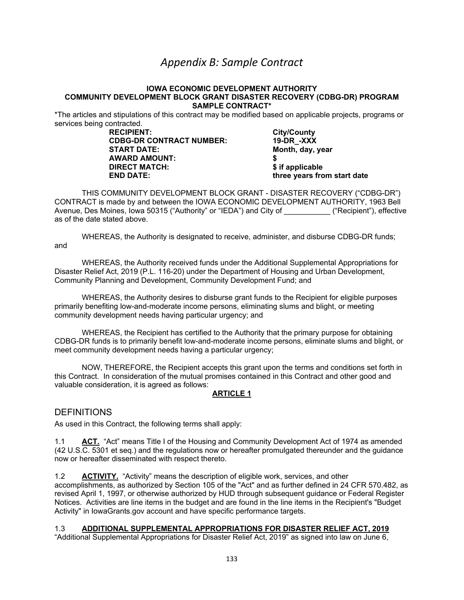# *Appendix B: Sample Contract*

### **IOWA ECONOMIC DEVELOPMENT AUTHORITY COMMUNITY DEVELOPMENT BLOCK GRANT DISASTER RECOVERY (CDBG-DR) PROGRAM SAMPLE CONTRACT\***

\*The articles and stipulations of this contract may be modified based on applicable projects, programs or services being contracted.<br>RECIPIENT:

**CDBG-DR CONTRACT NUMBER:**<br>**START DATE: AWARD AMOUNT: \$ DIRECT MATCH: \$ if applicable**

**City/County<br>19-DR\_-XXX Month, day, year END DATE: three years from start date**

THIS COMMUNITY DEVELOPMENT BLOCK GRANT - DISASTER RECOVERY ("CDBG-DR") CONTRACT is made by and between the IOWA ECONOMIC DEVELOPMENT AUTHORITY, 1963 Bell Avenue, Des Moines, Iowa 50315 ("Authority" or "IEDA") and City of \_\_\_\_\_\_\_\_\_\_\_ ("Recipient"), effective as of the date stated above.

WHEREAS, the Authority is designated to receive, administer, and disburse CDBG-DR funds; and

WHEREAS, the Authority received funds under the Additional Supplemental Appropriations for Disaster Relief Act, 2019 (P.L. 116-20) under the Department of Housing and Urban Development, Community Planning and Development, Community Development Fund; and

WHEREAS, the Authority desires to disburse grant funds to the Recipient for eligible purposes primarily benefiting low-and-moderate income persons, eliminating slums and blight, or meeting community development needs having particular urgency; and

WHEREAS, the Recipient has certified to the Authority that the primary purpose for obtaining CDBG-DR funds is to primarily benefit low-and-moderate income persons, eliminate slums and blight, or meet community development needs having a particular urgency;

NOW, THEREFORE, the Recipient accepts this grant upon the terms and conditions set forth in this Contract. In consideration of the mutual promises contained in this Contract and other good and valuable consideration, it is agreed as follows:

## **ARTICLE 1**

## **DEFINITIONS**

As used in this Contract, the following terms shall apply:

1.1 **ACT.** "Act" means Title I of the Housing and Community Development Act of 1974 as amended (42 U.S.C. 5301 et seq.) and the regulations now or hereafter promulgated thereunder and the guidance now or hereafter disseminated with respect thereto.

1.2 **ACTIVITY.** "Activity" means the description of eligible work, services, and other accomplishments, as authorized by Section 105 of the "Act" and as further defined in 24 CFR 570.482, as revised April 1, 1997, or otherwise authorized by HUD through subsequent guidance or Federal Register Notices. Activities are line items in the budget and are found in the line items in the Recipient's "Budget Activity" in IowaGrants.gov account and have specific performance targets.

### 1.3 **ADDITIONAL SUPPLEMENTAL APPROPRIATIONS FOR DISASTER RELIEF ACT, 2019**

"Additional Supplemental Appropriations for Disaster Relief Act, 2019" as signed into law on June 6,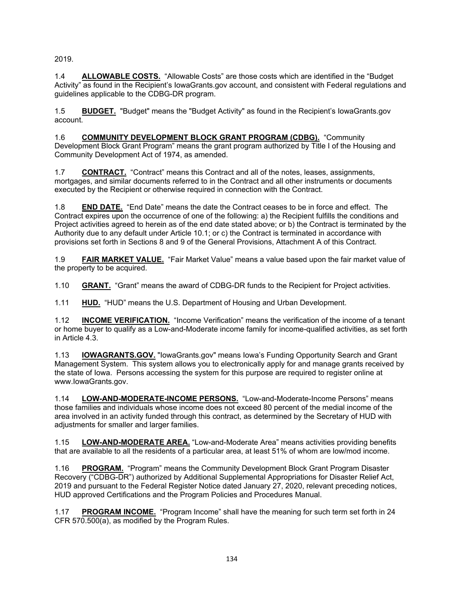2019.

1.4 **ALLOWABLE COSTS.** "Allowable Costs" are those costs which are identified in the "Budget Activity" as found in the Recipient's IowaGrants.gov account, and consistent with Federal regulations and guidelines applicable to the CDBG-DR program.

1.5 **BUDGET.** "Budget" means the "Budget Activity" as found in the Recipient's IowaGrants.gov account.

1.6 **COMMUNITY DEVELOPMENT BLOCK GRANT PROGRAM (CDBG).** "Community Development Block Grant Program" means the grant program authorized by Title I of the Housing and Community Development Act of 1974, as amended.

1.7 **CONTRACT.** "Contract" means this Contract and all of the notes, leases, assignments, mortgages, and similar documents referred to in the Contract and all other instruments or documents executed by the Recipient or otherwise required in connection with the Contract.

1.8 **END DATE.** "End Date" means the date the Contract ceases to be in force and effect. The Contract expires upon the occurrence of one of the following: a) the Recipient fulfills the conditions and Project activities agreed to herein as of the end date stated above; or b) the Contract is terminated by the Authority due to any default under Article 10.1; or c) the Contract is terminated in accordance with provisions set forth in Sections 8 and 9 of the General Provisions, Attachment A of this Contract.

1.9 **FAIR MARKET VALUE.** "Fair Market Value" means a value based upon the fair market value of the property to be acquired.

1.10 **GRANT.** "Grant" means the award of CDBG-DR funds to the Recipient for Project activities.

1.11 **HUD.** "HUD" means the U.S. Department of Housing and Urban Development.

1.12 **INCOME VERIFICATION.** "Income Verification" means the verification of the income of a tenant or home buyer to qualify as a Low-and-Moderate income family for income-qualified activities, as set forth in Article 4.3.

1.13 **IOWAGRANTS.GOV.** "IowaGrants.gov" means Iowa's Funding Opportunity Search and Grant Management System. This system allows you to electronically apply for and manage grants received by the state of Iowa. Persons accessing the system for this purpose are required to register online at www.IowaGrants.gov.

1.14 **LOW-AND-MODERATE-INCOME PERSONS.** "Low-and-Moderate-Income Persons" means those families and individuals whose income does not exceed 80 percent of the medial income of the area involved in an activity funded through this contract, as determined by the Secretary of HUD with adjustments for smaller and larger families.

1.15 **LOW-AND-MODERATE AREA.** "Low-and-Moderate Area" means activities providing benefits that are available to all the residents of a particular area, at least 51% of whom are low/mod income.

1.16 **PROGRAM.** "Program" means the Community Development Block Grant Program Disaster Recovery ("CDBG-DR") authorized by Additional Supplemental Appropriations for Disaster Relief Act, 2019 and pursuant to the Federal Register Notice dated January 27, 2020, relevant preceding notices, HUD approved Certifications and the Program Policies and Procedures Manual.

1.17 **PROGRAM INCOME.** "Program Income" shall have the meaning for such term set forth in 24 CFR 570.500(a), as modified by the Program Rules.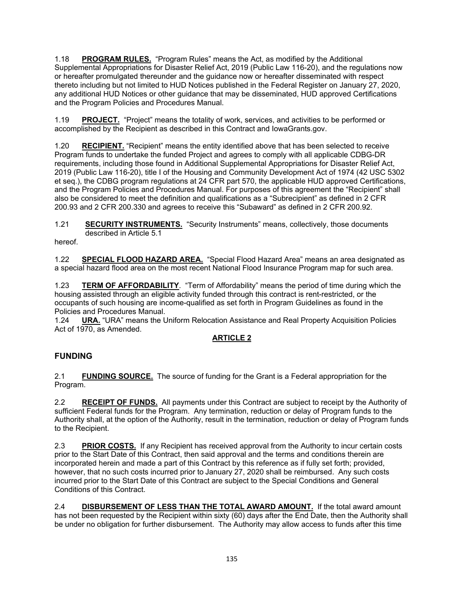1.18 **PROGRAM RULES.** "Program Rules" means the Act, as modified by the Additional Supplemental Appropriations for Disaster Relief Act, 2019 (Public Law 116-20), and the regulations now or hereafter promulgated thereunder and the guidance now or hereafter disseminated with respect thereto including but not limited to HUD Notices published in the Federal Register on January 27, 2020, any additional HUD Notices or other guidance that may be disseminated, HUD approved Certifications and the Program Policies and Procedures Manual.

1.19 **PROJECT.** "Project" means the totality of work, services, and activities to be performed or accomplished by the Recipient as described in this Contract and IowaGrants.gov.

1.20 **RECIPIENT.** "Recipient" means the entity identified above that has been selected to receive Program funds to undertake the funded Project and agrees to comply with all applicable CDBG-DR requirements, including those found in Additional Supplemental Appropriations for Disaster Relief Act, 2019 (Public Law 116-20), title I of the Housing and Community Development Act of 1974 (42 USC 5302 et seq.), the CDBG program regulations at 24 CFR part 570, the applicable HUD approved Certifications, and the Program Policies and Procedures Manual. For purposes of this agreement the "Recipient" shall also be considered to meet the definition and qualifications as a "Subrecipient" as defined in 2 CFR 200.93 and 2 CFR 200.330 and agrees to receive this "Subaward" as defined in 2 CFR 200.92.

1.21 **SECURITY INSTRUMENTS.** "Security Instruments" means, collectively, those documents described in Article 5.1

hereof.

1.22 **SPECIAL FLOOD HAZARD AREA.** "Special Flood Hazard Area" means an area designated as a special hazard flood area on the most recent National Flood Insurance Program map for such area.

1.23 **TERM OF AFFORDABILITY**. "Term of Affordability" means the period of time during which the housing assisted through an eligible activity funded through this contract is rent-restricted, or the occupants of such housing are income-qualified as set forth in Program Guidelines as found in the Policies and Procedures Manual.<br>1.24 **URA.** "URA" means the L

URA. "URA" means the Uniform Relocation Assistance and Real Property Acquisition Policies Act of 1970, as Amended.

## **ARTICLE 2**

# **FUNDING**

2.1 **FUNDING SOURCE.** The source of funding for the Grant is a Federal appropriation for the Program.

2.2 **RECEIPT OF FUNDS.** All payments under this Contract are subject to receipt by the Authority of sufficient Federal funds for the Program. Any termination, reduction or delay of Program funds to the Authority shall, at the option of the Authority, result in the termination, reduction or delay of Program funds to the Recipient.

2.3 **PRIOR COSTS.** If any Recipient has received approval from the Authority to incur certain costs prior to the Start Date of this Contract, then said approval and the terms and conditions therein are incorporated herein and made a part of this Contract by this reference as if fully set forth; provided, however, that no such costs incurred prior to January 27, 2020 shall be reimbursed. Any such costs incurred prior to the Start Date of this Contract are subject to the Special Conditions and General Conditions of this Contract.

2.4 **DISBURSEMENT OF LESS THAN THE TOTAL AWARD AMOUNT.** If the total award amount has not been requested by the Recipient within sixty (60) days after the End Date, then the Authority shall be under no obligation for further disbursement. The Authority may allow access to funds after this time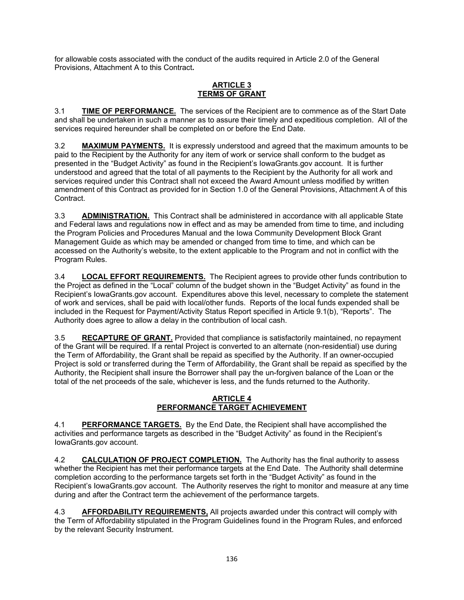for allowable costs associated with the conduct of the audits required in Article 2.0 of the General Provisions, Attachment A to this Contract**.**

## **ARTICLE 3 TERMS OF GRANT**

3.1 **TIME OF PERFORMANCE.** The services of the Recipient are to commence as of the Start Date and shall be undertaken in such a manner as to assure their timely and expeditious completion. All of the services required hereunder shall be completed on or before the End Date.

3.2 **MAXIMUM PAYMENTS.** It is expressly understood and agreed that the maximum amounts to be paid to the Recipient by the Authority for any item of work or service shall conform to the budget as presented in the "Budget Activity" as found in the Recipient's IowaGrants.gov account. It is further understood and agreed that the total of all payments to the Recipient by the Authority for all work and services required under this Contract shall not exceed the Award Amount unless modified by written amendment of this Contract as provided for in Section 1.0 of the General Provisions, Attachment A of this Contract.

3.3 **ADMINISTRATION.** This Contract shall be administered in accordance with all applicable State and Federal laws and regulations now in effect and as may be amended from time to time, and including the Program Policies and Procedures Manual and the Iowa Community Development Block Grant Management Guide as which may be amended or changed from time to time, and which can be accessed on the Authority's website, to the extent applicable to the Program and not in conflict with the Program Rules.

3.4 **LOCAL EFFORT REQUIREMENTS.** The Recipient agrees to provide other funds contribution to the Project as defined in the "Local" column of the budget shown in the "Budget Activity" as found in the Recipient's IowaGrants.gov account. Expenditures above this level, necessary to complete the statement of work and services, shall be paid with local/other funds. Reports of the local funds expended shall be included in the Request for Payment/Activity Status Report specified in Article 9.1(b), "Reports". The Authority does agree to allow a delay in the contribution of local cash.

3.5 **RECAPTURE OF GRANT.** Provided that compliance is satisfactorily maintained, no repayment of the Grant will be required. If a rental Project is converted to an alternate (non-residential) use during the Term of Affordability, the Grant shall be repaid as specified by the Authority. If an owner-occupied Project is sold or transferred during the Term of Affordability, the Grant shall be repaid as specified by the Authority, the Recipient shall insure the Borrower shall pay the un-forgiven balance of the Loan or the total of the net proceeds of the sale, whichever is less, and the funds returned to the Authority.

## **ARTICLE 4 PERFORMANCE TARGET ACHIEVEMENT**

4.1 **PERFORMANCE TARGETS.** By the End Date, the Recipient shall have accomplished the activities and performance targets as described in the "Budget Activity" as found in the Recipient's IowaGrants.gov account.

4.2 **CALCULATION OF PROJECT COMPLETION.** The Authority has the final authority to assess whether the Recipient has met their performance targets at the End Date. The Authority shall determine completion according to the performance targets set forth in the "Budget Activity" as found in the Recipient's IowaGrants.gov account. The Authority reserves the right to monitor and measure at any time during and after the Contract term the achievement of the performance targets.

4.3 **AFFORDABILITY REQUIREMENTS,** All projects awarded under this contract will comply with the Term of Affordability stipulated in the Program Guidelines found in the Program Rules, and enforced by the relevant Security Instrument.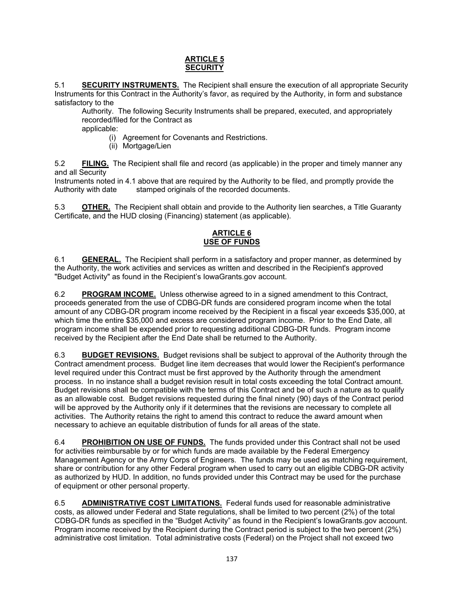## **ARTICLE 5 SECURITY**

5.1 **SECURITY INSTRUMENTS.** The Recipient shall ensure the execution of all appropriate Security Instruments for this Contract in the Authority's favor, as required by the Authority, in form and substance satisfactory to the

Authority. The following Security Instruments shall be prepared, executed, and appropriately recorded/filed for the Contract as

applicable:

- (i) Agreement for Covenants and Restrictions.
- (ii) Mortgage/Lien

5.2 **FILING.** The Recipient shall file and record (as applicable) in the proper and timely manner any and all Security

Instruments noted in 4.1 above that are required by the Authority to be filed, and promptly provide the Authority with date stamped originals of the recorded documents. stamped originals of the recorded documents.

5.3 **OTHER.** The Recipient shall obtain and provide to the Authority lien searches, a Title Guaranty Certificate, and the HUD closing (Financing) statement (as applicable).

## **ARTICLE 6 USE OF FUNDS**

6.1 **GENERAL.** The Recipient shall perform in a satisfactory and proper manner, as determined by the Authority, the work activities and services as written and described in the Recipient's approved "Budget Activity" as found in the Recipient's IowaGrants.gov account.

6.2 **PROGRAM INCOME.** Unless otherwise agreed to in a signed amendment to this Contract, proceeds generated from the use of CDBG-DR funds are considered program income when the total amount of any CDBG-DR program income received by the Recipient in a fiscal year exceeds \$35,000, at which time the entire \$35,000 and excess are considered program income. Prior to the End Date, all program income shall be expended prior to requesting additional CDBG-DR funds. Program income received by the Recipient after the End Date shall be returned to the Authority.

6.3 **BUDGET REVISIONS.** Budget revisions shall be subject to approval of the Authority through the Contract amendment process. Budget line item decreases that would lower the Recipient's performance level required under this Contract must be first approved by the Authority through the amendment process. In no instance shall a budget revision result in total costs exceeding the total Contract amount. Budget revisions shall be compatible with the terms of this Contract and be of such a nature as to qualify as an allowable cost. Budget revisions requested during the final ninety (90) days of the Contract period will be approved by the Authority only if it determines that the revisions are necessary to complete all activities. The Authority retains the right to amend this contract to reduce the award amount when necessary to achieve an equitable distribution of funds for all areas of the state.

6.4 **PROHIBITION ON USE OF FUNDS.** The funds provided under this Contract shall not be used for activities reimbursable by or for which funds are made available by the Federal Emergency Management Agency or the Army Corps of Engineers. The funds may be used as matching requirement, share or contribution for any other Federal program when used to carry out an eligible CDBG-DR activity as authorized by HUD. In addition, no funds provided under this Contract may be used for the purchase of equipment or other personal property.

6.5 **ADMINISTRATIVE COST LIMITATIONS.** Federal funds used for reasonable administrative costs, as allowed under Federal and State regulations, shall be limited to two percent (2%) of the total CDBG-DR funds as specified in the "Budget Activity" as found in the Recipient's IowaGrants.gov account. Program income received by the Recipient during the Contract period is subject to the two percent (2%) administrative cost limitation. Total administrative costs (Federal) on the Project shall not exceed two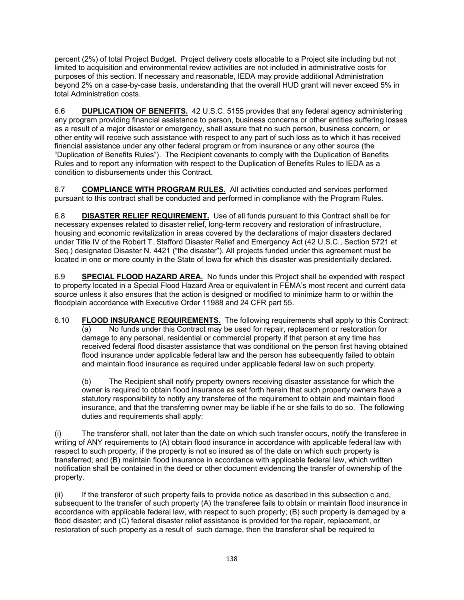percent (2%) of total Project Budget. Project delivery costs allocable to a Project site including but not limited to acquisition and environmental review activities are not included in administrative costs for purposes of this section. If necessary and reasonable, IEDA may provide additional Administration beyond 2% on a case-by-case basis, understanding that the overall HUD grant will never exceed 5% in total Administration costs.

6.6 **DUPLICATION OF BENEFITS.** 42 U.S.C. 5155 provides that any federal agency administering any program providing financial assistance to person, business concerns or other entities suffering losses as a result of a major disaster or emergency, shall assure that no such person, business concern, or other entity will receive such assistance with respect to any part of such loss as to which it has received financial assistance under any other federal program or from insurance or any other source (the "Duplication of Benefits Rules"). The Recipient covenants to comply with the Duplication of Benefits Rules and to report any information with respect to the Duplication of Benefits Rules to IEDA as a condition to disbursements under this Contract.

6.7 **COMPLIANCE WITH PROGRAM RULES.** All activities conducted and services performed pursuant to this contract shall be conducted and performed in compliance with the Program Rules.

6.8 **DISASTER RELIEF REQUIREMENT.** Use of all funds pursuant to this Contract shall be for necessary expenses related to disaster relief, long-term recovery and restoration of infrastructure, housing and economic revitalization in areas covered by the declarations of major disasters declared under Title IV of the Robert T. Stafford Disaster Relief and Emergency Act (42 U.S.C., Section 5721 et Seq.) designated Disaster N. 4421 ("the disaster"). All projects funded under this agreement must be located in one or more county in the State of Iowa for which this disaster was presidentially declared.

6.9 **SPECIAL FLOOD HAZARD AREA.** No funds under this Project shall be expended with respect to property located in a Special Flood Hazard Area or equivalent in FEMA's most recent and current data source unless it also ensures that the action is designed or modified to minimize harm to or within the floodplain accordance with Executive Order 11988 and 24 CFR part 55.

6.10 **FLOOD INSURANCE REQUIREMENTS.** The following requirements shall apply to this Contract:  $(a)$  No funds under this Contract may be used for repair, replacement or restoration for damage to any personal, residential or commercial property if that person at any time has received federal flood disaster assistance that was conditional on the person first having obtained flood insurance under applicable federal law and the person has subsequently failed to obtain and maintain flood insurance as required under applicable federal law on such property.

(b) The Recipient shall notify property owners receiving disaster assistance for which the owner is required to obtain flood insurance as set forth herein that such property owners have a statutory responsibility to notify any transferee of the requirement to obtain and maintain flood insurance, and that the transferring owner may be liable if he or she fails to do so. The following duties and requirements shall apply:

(i) The transferor shall, not later than the date on which such transfer occurs, notify the transferee in writing of ANY requirements to (A) obtain flood insurance in accordance with applicable federal law with respect to such property, if the property is not so insured as of the date on which such property is transferred; and (B) maintain flood insurance in accordance with applicable federal law, which written notification shall be contained in the deed or other document evidencing the transfer of ownership of the property.

(ii) If the transferor of such property fails to provide notice as described in this subsection c and, subsequent to the transfer of such property (A) the transferee fails to obtain or maintain flood insurance in accordance with applicable federal law, with respect to such property; (B) such property is damaged by a flood disaster; and (C) federal disaster relief assistance is provided for the repair, replacement, or restoration of such property as a result of such damage, then the transferor shall be required to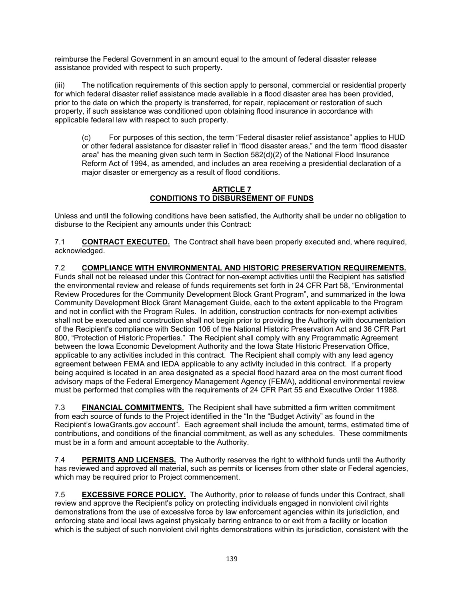reimburse the Federal Government in an amount equal to the amount of federal disaster release assistance provided with respect to such property.

(iii) The notification requirements of this section apply to personal, commercial or residential property for which federal disaster relief assistance made available in a flood disaster area has been provided, prior to the date on which the property is transferred, for repair, replacement or restoration of such property, if such assistance was conditioned upon obtaining flood insurance in accordance with applicable federal law with respect to such property.

(c) For purposes of this section, the term "Federal disaster relief assistance" applies to HUD or other federal assistance for disaster relief in "flood disaster areas," and the term "flood disaster area" has the meaning given such term in Section 582(d)(2) of the National Flood Insurance Reform Act of 1994, as amended, and includes an area receiving a presidential declaration of a major disaster or emergency as a result of flood conditions.

### **ARTICLE 7 CONDITIONS TO DISBURSEMENT OF FUNDS**

Unless and until the following conditions have been satisfied, the Authority shall be under no obligation to disburse to the Recipient any amounts under this Contract:

7.1 **CONTRACT EXECUTED.** The Contract shall have been properly executed and, where required, acknowledged.

7.2 **COMPLIANCE WITH ENVIRONMENTAL AND HISTORIC PRESERVATION REQUIREMENTS.** Funds shall not be released under this Contract for non-exempt activities until the Recipient has satisfied the environmental review and release of funds requirements set forth in 24 CFR Part 58, "Environmental Review Procedures for the Community Development Block Grant Program", and summarized in the Iowa Community Development Block Grant Management Guide, each to the extent applicable to the Program and not in conflict with the Program Rules. In addition, construction contracts for non-exempt activities shall not be executed and construction shall not begin prior to providing the Authority with documentation of the Recipient's compliance with Section 106 of the National Historic Preservation Act and 36 CFR Part 800, "Protection of Historic Properties." The Recipient shall comply with any Programmatic Agreement between the Iowa Economic Development Authority and the Iowa State Historic Preservation Office, applicable to any activities included in this contract. The Recipient shall comply with any lead agency agreement between FEMA and IEDA applicable to any activity included in this contract. If a property being acquired is located in an area designated as a special flood hazard area on the most current flood advisory maps of the Federal Emergency Management Agency (FEMA), additional environmental review must be performed that complies with the requirements of 24 CFR Part 55 and Executive Order 11988.

7.3 **FINANCIAL COMMITMENTS.** The Recipient shall have submitted a firm written commitment from each source of funds to the Project identified in the "In the "Budget Activity" as found in the Recipient's IowaGrants.gov account". Each agreement shall include the amount, terms, estimated time of contributions, and conditions of the financial commitment, as well as any schedules. These commitments must be in a form and amount acceptable to the Authority.

7.4 **PERMITS AND LICENSES.** The Authority reserves the right to withhold funds until the Authority has reviewed and approved all material, such as permits or licenses from other state or Federal agencies, which may be required prior to Project commencement.

7.5 **EXCESSIVE FORCE POLICY.** The Authority, prior to release of funds under this Contract, shall review and approve the Recipient's policy on protecting individuals engaged in nonviolent civil rights demonstrations from the use of excessive force by law enforcement agencies within its jurisdiction, and enforcing state and local laws against physically barring entrance to or exit from a facility or location which is the subject of such nonviolent civil rights demonstrations within its jurisdiction, consistent with the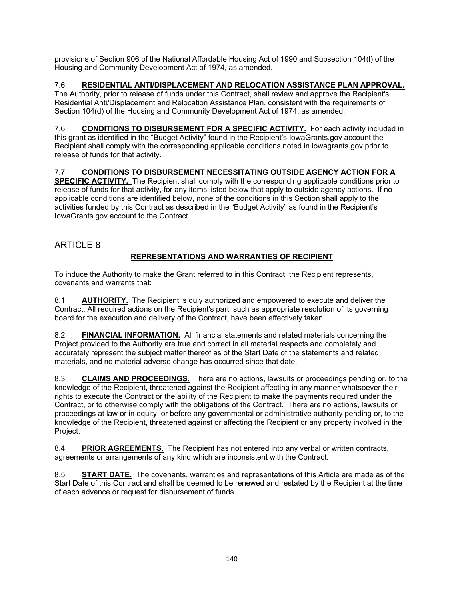provisions of Section 906 of the National Affordable Housing Act of 1990 and Subsection 104(l) of the Housing and Community Development Act of 1974, as amended.

# 7.6 **RESIDENTIAL ANTI/DISPLACEMENT AND RELOCATION ASSISTANCE PLAN APPROVAL.**

The Authority, prior to release of funds under this Contract, shall review and approve the Recipient's Residential Anti/Displacement and Relocation Assistance Plan, consistent with the requirements of Section 104(d) of the Housing and Community Development Act of 1974, as amended.

7.6 **CONDITIONS TO DISBURSEMENT FOR A SPECIFIC ACTIVITY.** For each activity included in this grant as identified in the "Budget Activity" found in the Recipient's IowaGrants.gov account the Recipient shall comply with the corresponding applicable conditions noted in iowagrants.gov prior to release of funds for that activity.

# 7.7 **CONDITIONS TO DISBURSEMENT NECESSITATING OUTSIDE AGENCY ACTION FOR A**

**SPECIFIC ACTIVITY.** The Recipient shall comply with the corresponding applicable conditions prior to release of funds for that activity, for any items listed below that apply to outside agency actions. If no applicable conditions are identified below, none of the conditions in this Section shall apply to the activities funded by this Contract as described in the "Budget Activity" as found in the Recipient's IowaGrants.gov account to the Contract.

# ARTICLE 8

# **REPRESENTATIONS AND WARRANTIES OF RECIPIENT**

To induce the Authority to make the Grant referred to in this Contract, the Recipient represents, covenants and warrants that:

8.1 **AUTHORITY.** The Recipient is duly authorized and empowered to execute and deliver the Contract. All required actions on the Recipient's part, such as appropriate resolution of its governing board for the execution and delivery of the Contract, have been effectively taken.

8.2 **FINANCIAL INFORMATION.** All financial statements and related materials concerning the Project provided to the Authority are true and correct in all material respects and completely and accurately represent the subject matter thereof as of the Start Date of the statements and related materials, and no material adverse change has occurred since that date.

8.3 **CLAIMS AND PROCEEDINGS.** There are no actions, lawsuits or proceedings pending or, to the knowledge of the Recipient, threatened against the Recipient affecting in any manner whatsoever their rights to execute the Contract or the ability of the Recipient to make the payments required under the Contract, or to otherwise comply with the obligations of the Contract. There are no actions, lawsuits or proceedings at law or in equity, or before any governmental or administrative authority pending or, to the knowledge of the Recipient, threatened against or affecting the Recipient or any property involved in the Project.

8.4 **PRIOR AGREEMENTS.** The Recipient has not entered into any verbal or written contracts, agreements or arrangements of any kind which are inconsistent with the Contract.

8.5 **START DATE.** The covenants, warranties and representations of this Article are made as of the Start Date of this Contract and shall be deemed to be renewed and restated by the Recipient at the time of each advance or request for disbursement of funds.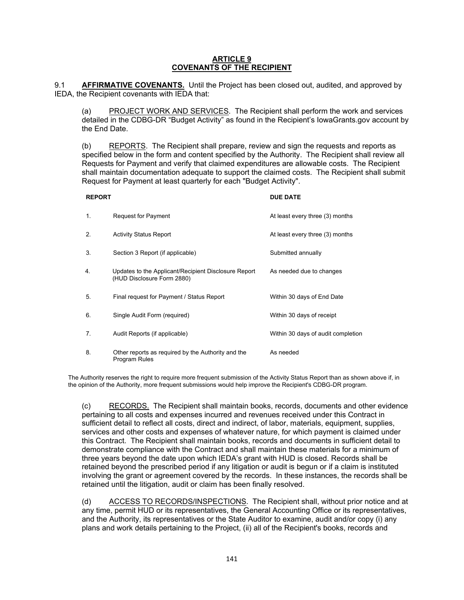### **ARTICLE 9 COVENANTS OF THE RECIPIENT**

9.1 **AFFIRMATIVE COVENANTS.** Until the Project has been closed out, audited, and approved by IEDA, the Recipient covenants with IEDA that:

(a) PROJECT WORK AND SERVICES. The Recipient shall perform the work and services detailed in the CDBG-DR "Budget Activity" as found in the Recipient's IowaGrants.gov account by the End Date.

(b) REPORTS. The Recipient shall prepare, review and sign the requests and reports as specified below in the form and content specified by the Authority. The Recipient shall review all Requests for Payment and verify that claimed expenditures are allowable costs. The Recipient shall maintain documentation adequate to support the claimed costs. The Recipient shall submit Request for Payment at least quarterly for each "Budget Activity".

### **REPORT DUE DATE**

| 1. | Request for Payment                                                                | At least every three (3) months    |
|----|------------------------------------------------------------------------------------|------------------------------------|
| 2. | <b>Activity Status Report</b>                                                      | At least every three (3) months    |
| 3. | Section 3 Report (if applicable)                                                   | Submitted annually                 |
| 4. | Updates to the Applicant/Recipient Disclosure Report<br>(HUD Disclosure Form 2880) | As needed due to changes           |
| 5. | Final request for Payment / Status Report                                          | Within 30 days of End Date         |
| 6. | Single Audit Form (required)                                                       | Within 30 days of receipt          |
| 7. | Audit Reports (if applicable)                                                      | Within 30 days of audit completion |
| 8. | Other reports as required by the Authority and the<br>Program Rules                | As needed                          |

The Authority reserves the right to require more frequent submission of the Activity Status Report than as shown above if, in the opinion of the Authority, more frequent submissions would help improve the Recipient's CDBG-DR program.

(c) RECORDS. The Recipient shall maintain books, records, documents and other evidence pertaining to all costs and expenses incurred and revenues received under this Contract in sufficient detail to reflect all costs, direct and indirect, of labor, materials, equipment, supplies, services and other costs and expenses of whatever nature, for which payment is claimed under this Contract. The Recipient shall maintain books, records and documents in sufficient detail to demonstrate compliance with the Contract and shall maintain these materials for a minimum of three years beyond the date upon which IEDA's grant with HUD is closed. Records shall be retained beyond the prescribed period if any litigation or audit is begun or if a claim is instituted involving the grant or agreement covered by the records. In these instances, the records shall be retained until the litigation, audit or claim has been finally resolved.

(d) ACCESS TO RECORDS/INSPECTIONS. The Recipient shall, without prior notice and at any time, permit HUD or its representatives, the General Accounting Office or its representatives, and the Authority, its representatives or the State Auditor to examine, audit and/or copy (i) any plans and work details pertaining to the Project, (ii) all of the Recipient's books, records and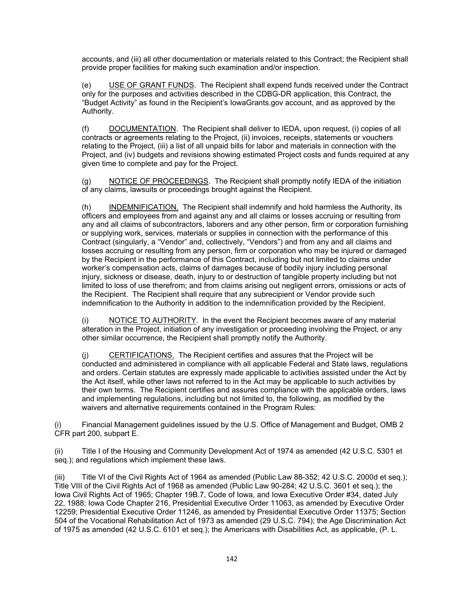accounts, and (iii) all other documentation or materials related to this Contract; the Recipient shall provide proper facilities for making such examination and/or inspection.

(e) USE OF GRANT FUNDS. The Recipient shall expend funds received under the Contract only for the purposes and activities described in the CDBG-DR application, this Contract, the "Budget Activity" as found in the Recipient's IowaGrants.gov account, and as approved by the Authority.

(f) DOCUMENTATION. The Recipient shall deliver to IEDA, upon request, (i) copies of all contracts or agreements relating to the Project, (ii) invoices, receipts, statements or vouchers relating to the Project, (iii) a list of all unpaid bills for labor and materials in connection with the Project, and (iv) budgets and revisions showing estimated Project costs and funds required at any given time to complete and pay for the Project.

(g) NOTICE OF PROCEEDINGS. The Recipient shall promptly notify IEDA of the initiation of any claims, lawsuits or proceedings brought against the Recipient.

(h) INDEMNIFICATION. The Recipient shall indemnify and hold harmless the Authority, its officers and employees from and against any and all claims or losses accruing or resulting from any and all claims of subcontractors, laborers and any other person, firm or corporation furnishing or supplying work, services, materials or supplies in connection with the performance of this Contract (singularly, a "Vendor" and, collectively, "Vendors") and from any and all claims and losses accruing or resulting from any person, firm or corporation who may be injured or damaged by the Recipient in the performance of this Contract, including but not limited to claims under worker's compensation acts, claims of damages because of bodily injury including personal injury, sickness or disease, death, injury to or destruction of tangible property including but not limited to loss of use therefrom; and from claims arising out negligent errors, omissions or acts of the Recipient. The Recipient shall require that any subrecipient or Vendor provide such indemnification to the Authority in addition to the indemnification provided by the Recipient.

(i) NOTICE TO AUTHORITY. In the event the Recipient becomes aware of any material alteration in the Project, initiation of any investigation or proceeding involving the Project, or any other similar occurrence, the Recipient shall promptly notify the Authority.

(j) CERTIFICATIONS. The Recipient certifies and assures that the Project will be conducted and administered in compliance with all applicable Federal and State laws, regulations and orders. Certain statutes are expressly made applicable to activities assisted under the Act by the Act itself, while other laws not referred to in the Act may be applicable to such activities by their own terms. The Recipient certifies and assures compliance with the applicable orders, laws and implementing regulations, including but not limited to, the following, as modified by the waivers and alternative requirements contained in the Program Rules:

(i) Financial Management guidelines issued by the U.S. Office of Management and Budget, OMB 2 CFR part 200, subpart E.

(ii) Title I of the Housing and Community Development Act of 1974 as amended (42 U.S.C. 5301 et seq.); and regulations which implement these laws.

(iii) Title VI of the Civil Rights Act of 1964 as amended (Public Law 88-352; 42 U.S.C. 2000d et seq.); Title VIII of the Civil Rights Act of 1968 as amended (Public Law 90-284; 42 U.S.C. 3601 et seq.); the Iowa Civil Rights Act of 1965; Chapter 19B.7, Code of Iowa, and Iowa Executive Order #34, dated July 22, 1988; Iowa Code Chapter 216, Presidential Executive Order 11063, as amended by Executive Order 12259; Presidential Executive Order 11246, as amended by Presidential Executive Order 11375; Section 504 of the Vocational Rehabilitation Act of 1973 as amended (29 U.S.C. 794); the Age Discrimination Act of 1975 as amended (42 U.S.C. 6101 et seq.); the Americans with Disabilities Act, as applicable, (P. L.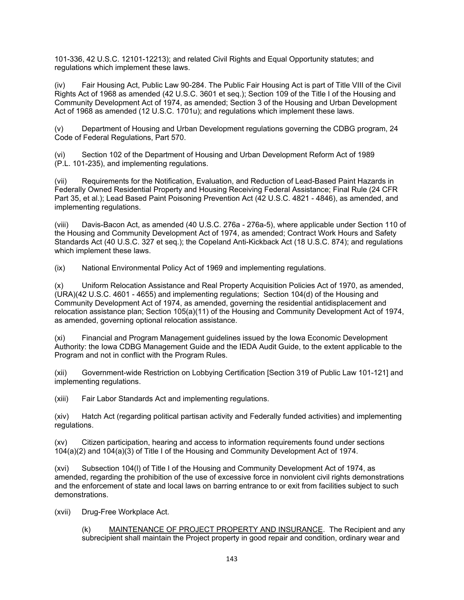101-336, 42 U.S.C. 12101-12213); and related Civil Rights and Equal Opportunity statutes; and regulations which implement these laws.

(iv) Fair Housing Act, Public Law 90-284. The Public Fair Housing Act is part of Title VIII of the Civil Rights Act of 1968 as amended (42 U.S.C. 3601 et seq.); Section 109 of the Title I of the Housing and Community Development Act of 1974, as amended; Section 3 of the Housing and Urban Development Act of 1968 as amended (12 U.S.C. 1701u); and regulations which implement these laws.

(v) Department of Housing and Urban Development regulations governing the CDBG program, 24 Code of Federal Regulations, Part 570.

(vi) Section 102 of the Department of Housing and Urban Development Reform Act of 1989 (P.L. 101-235), and implementing regulations.

(vii) Requirements for the Notification, Evaluation, and Reduction of Lead-Based Paint Hazards in Federally Owned Residential Property and Housing Receiving Federal Assistance; Final Rule (24 CFR Part 35, et al.); Lead Based Paint Poisoning Prevention Act (42 U.S.C. 4821 - 4846), as amended, and implementing regulations.

(viii) Davis-Bacon Act, as amended (40 U.S.C. 276a - 276a-5), where applicable under Section 110 of the Housing and Community Development Act of 1974, as amended; Contract Work Hours and Safety Standards Act (40 U.S.C. 327 et seq.); the Copeland Anti-Kickback Act (18 U.S.C. 874); and regulations which implement these laws.

(ix) National Environmental Policy Act of 1969 and implementing regulations.

(x) Uniform Relocation Assistance and Real Property Acquisition Policies Act of 1970, as amended, (URA)(42 U.S.C. 4601 - 4655) and implementing regulations; Section 104(d) of the Housing and Community Development Act of 1974, as amended, governing the residential antidisplacement and relocation assistance plan; Section 105(a)(11) of the Housing and Community Development Act of 1974, as amended, governing optional relocation assistance.

(xi) Financial and Program Management guidelines issued by the Iowa Economic Development Authority: the Iowa CDBG Management Guide and the IEDA Audit Guide, to the extent applicable to the Program and not in conflict with the Program Rules.

(xii) Government-wide Restriction on Lobbying Certification [Section 319 of Public Law 101-121] and implementing regulations.

(xiii) Fair Labor Standards Act and implementing regulations.

(xiv) Hatch Act (regarding political partisan activity and Federally funded activities) and implementing regulations.

(xv) Citizen participation, hearing and access to information requirements found under sections 104(a)(2) and 104(a)(3) of Title I of the Housing and Community Development Act of 1974.

(xvi) Subsection 104(l) of Title I of the Housing and Community Development Act of 1974, as amended, regarding the prohibition of the use of excessive force in nonviolent civil rights demonstrations and the enforcement of state and local laws on barring entrance to or exit from facilities subject to such demonstrations.

(xvii) Drug-Free Workplace Act.

(k) MAINTENANCE OF PROJECT PROPERTY AND INSURANCE. The Recipient and any subrecipient shall maintain the Project property in good repair and condition, ordinary wear and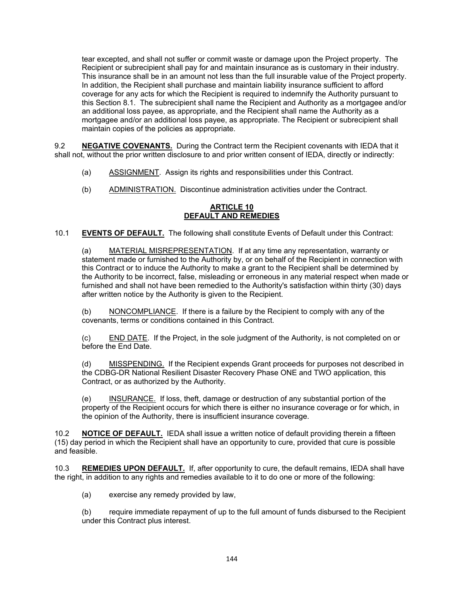tear excepted, and shall not suffer or commit waste or damage upon the Project property. The Recipient or subrecipient shall pay for and maintain insurance as is customary in their industry. This insurance shall be in an amount not less than the full insurable value of the Project property. In addition, the Recipient shall purchase and maintain liability insurance sufficient to afford coverage for any acts for which the Recipient is required to indemnify the Authority pursuant to this Section 8.1. The subrecipient shall name the Recipient and Authority as a mortgagee and/or an additional loss payee, as appropriate, and the Recipient shall name the Authority as a mortgagee and/or an additional loss payee, as appropriate. The Recipient or subrecipient shall maintain copies of the policies as appropriate.

9.2 **NEGATIVE COVENANTS.** During the Contract term the Recipient covenants with IEDA that it shall not, without the prior written disclosure to and prior written consent of IEDA, directly or indirectly:

- (a) ASSIGNMENT. Assign its rights and responsibilities under this Contract.
- (b) ADMINISTRATION. Discontinue administration activities under the Contract.

### **ARTICLE 10 DEFAULT AND REMEDIES**

10.1 **EVENTS OF DEFAULT.** The following shall constitute Events of Default under this Contract:

(a) MATERIAL MISREPRESENTATION. If at any time any representation, warranty or statement made or furnished to the Authority by, or on behalf of the Recipient in connection with this Contract or to induce the Authority to make a grant to the Recipient shall be determined by the Authority to be incorrect, false, misleading or erroneous in any material respect when made or furnished and shall not have been remedied to the Authority's satisfaction within thirty (30) days after written notice by the Authority is given to the Recipient.

(b) NONCOMPLIANCE. If there is a failure by the Recipient to comply with any of the covenants, terms or conditions contained in this Contract.

(c) END DATE. If the Project, in the sole judgment of the Authority, is not completed on or before the End Date.

(d) MISSPENDING. If the Recipient expends Grant proceeds for purposes not described in the CDBG-DR National Resilient Disaster Recovery Phase ONE and TWO application, this Contract, or as authorized by the Authority.

(e) INSURANCE. If loss, theft, damage or destruction of any substantial portion of the property of the Recipient occurs for which there is either no insurance coverage or for which, in the opinion of the Authority, there is insufficient insurance coverage.

10.2 **NOTICE OF DEFAULT.** IEDA shall issue a written notice of default providing therein a fifteen (15) day period in which the Recipient shall have an opportunity to cure, provided that cure is possible and feasible.

10.3 **REMEDIES UPON DEFAULT.** If, after opportunity to cure, the default remains, IEDA shall have the right, in addition to any rights and remedies available to it to do one or more of the following:

(a) exercise any remedy provided by law,

(b) require immediate repayment of up to the full amount of funds disbursed to the Recipient under this Contract plus interest.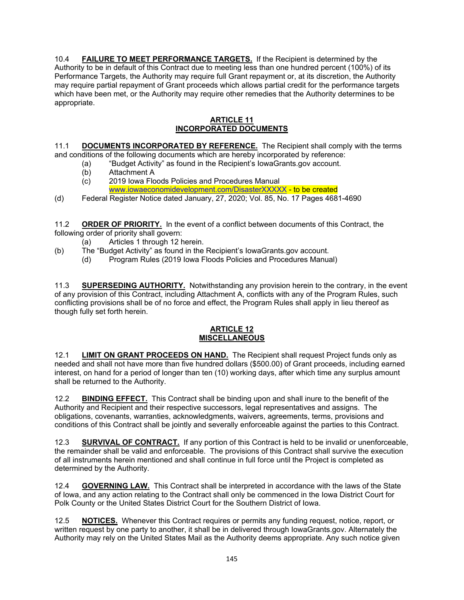10.4 **FAILURE TO MEET PERFORMANCE TARGETS.** If the Recipient is determined by the Authority to be in default of this Contract due to meeting less than one hundred percent (100%) of its Performance Targets, the Authority may require full Grant repayment or, at its discretion, the Authority may require partial repayment of Grant proceeds which allows partial credit for the performance targets which have been met, or the Authority may require other remedies that the Authority determines to be appropriate.

## **ARTICLE 11 INCORPORATED DOCUMENTS**

11.1 **DOCUMENTS INCORPORATED BY REFERENCE.** The Recipient shall comply with the terms and conditions of the following documents which are hereby incorporated by reference:

- (a) "Budget Activity" as found in the Recipient's IowaGrants.gov account.
- 
- (b) Attachment A<br>(c) 2019 Iowa Flo 2019 Iowa Floods Policies and Procedures Manual [www.iowaeconomidevelopment.com/DisasterXXXXX](http://www.iowaeconomidevelopment.com/DisasterXXXXX) - to be created
- (d) Federal Register Notice dated January, 27, 2020; Vol. 85, No. 17 Pages 4681-4690

11.2 **ORDER OF PRIORITY.** In the event of a conflict between documents of this Contract, the following order of priority shall govern:

- (a) Articles 1 through 12 herein.
- (b) The "Budget Activity" as found in the Recipient's IowaGrants.gov account.
	- (d) Program Rules (2019 Iowa Floods Policies and Procedures Manual)

11.3 **SUPERSEDING AUTHORITY.** Notwithstanding any provision herein to the contrary, in the event of any provision of this Contract, including Attachment A, conflicts with any of the Program Rules, such conflicting provisions shall be of no force and effect, the Program Rules shall apply in lieu thereof as though fully set forth herein.

## **ARTICLE 12 MISCELLANEOUS**

12.1 **LIMIT ON GRANT PROCEEDS ON HAND.** The Recipient shall request Project funds only as needed and shall not have more than five hundred dollars (\$500.00) of Grant proceeds, including earned interest, on hand for a period of longer than ten (10) working days, after which time any surplus amount shall be returned to the Authority.

12.2 **BINDING EFFECT.** This Contract shall be binding upon and shall inure to the benefit of the Authority and Recipient and their respective successors, legal representatives and assigns. The obligations, covenants, warranties, acknowledgments, waivers, agreements, terms, provisions and conditions of this Contract shall be jointly and severally enforceable against the parties to this Contract.

12.3 **SURVIVAL OF CONTRACT.** If any portion of this Contract is held to be invalid or unenforceable, the remainder shall be valid and enforceable. The provisions of this Contract shall survive the execution of all instruments herein mentioned and shall continue in full force until the Project is completed as determined by the Authority.

12.4 **GOVERNING LAW.** This Contract shall be interpreted in accordance with the laws of the State of Iowa, and any action relating to the Contract shall only be commenced in the Iowa District Court for Polk County or the United States District Court for the Southern District of Iowa.

12.5 **NOTICES.** Whenever this Contract requires or permits any funding request, notice, report, or written request by one party to another, it shall be in delivered through IowaGrants.gov. Alternately the Authority may rely on the United States Mail as the Authority deems appropriate. Any such notice given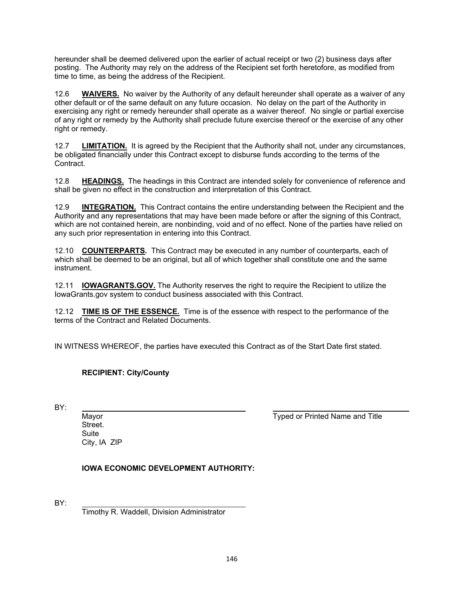hereunder shall be deemed delivered upon the earlier of actual receipt or two (2) business days after posting. The Authority may rely on the address of the Recipient set forth heretofore, as modified from time to time, as being the address of the Recipient.

12.6 **WAIVERS.** No waiver by the Authority of any default hereunder shall operate as a waiver of any other default or of the same default on any future occasion. No delay on the part of the Authority in exercising any right or remedy hereunder shall operate as a waiver thereof. No single or partial exercise of any right or remedy by the Authority shall preclude future exercise thereof or the exercise of any other right or remedy.

12.7 **LIMITATION.** It is agreed by the Recipient that the Authority shall not, under any circumstances, be obligated financially under this Contract except to disburse funds according to the terms of the Contract.

12.8 **HEADINGS.** The headings in this Contract are intended solely for convenience of reference and shall be given no effect in the construction and interpretation of this Contract.

12.9 **INTEGRATION.** This Contract contains the entire understanding between the Recipient and the Authority and any representations that may have been made before or after the signing of this Contract, which are not contained herein, are nonbinding, void and of no effect. None of the parties have relied on any such prior representation in entering into this Contract.

12.10 **COUNTERPARTS.** This Contract may be executed in any number of counterparts, each of which shall be deemed to be an original, but all of which together shall constitute one and the same instrument.

12.11 **IOWAGRANTS.GOV.** The Authority reserves the right to require the Recipient to utilize the IowaGrants.gov system to conduct business associated with this Contract.

12.12 **TIME IS OF THE ESSENCE.** Time is of the essence with respect to the performance of the terms of the Contract and Related Documents.

IN WITNESS WHEREOF, the parties have executed this Contract as of the Start Date first stated.

## **RECIPIENT: City/County**

BY:

**Street Suite** City, IA ZIP

Mayor **The Community Community** Communist Communist Communist Communist Communist Communist Communist Communist Communist Communist Communist Communist Communist Communist Communist Communist Communist Communist Communist

**IOWA ECONOMIC DEVELOPMENT AUTHORITY:**

BY:

Timothy R. Waddell, Division Administrator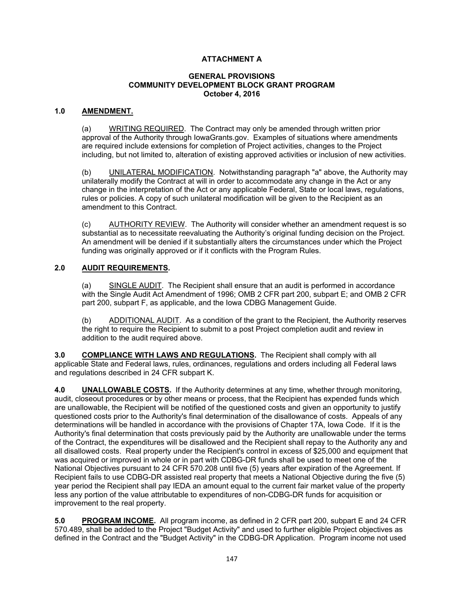## **ATTACHMENT A**

### **GENERAL PROVISIONS COMMUNITY DEVELOPMENT BLOCK GRANT PROGRAM October 4, 2016**

### **1.0 AMENDMENT.**

(a) WRITING REQUIRED. The Contract may only be amended through written prior approval of the Authority through IowaGrants.gov. Examples of situations where amendments are required include extensions for completion of Project activities, changes to the Project including, but not limited to, alteration of existing approved activities or inclusion of new activities.

(b) UNILATERAL MODIFICATION. Notwithstanding paragraph "a" above, the Authority may unilaterally modify the Contract at will in order to accommodate any change in the Act or any change in the interpretation of the Act or any applicable Federal, State or local laws, regulations, rules or policies. A copy of such unilateral modification will be given to the Recipient as an amendment to this Contract.

(c) AUTHORITY REVIEW. The Authority will consider whether an amendment request is so substantial as to necessitate reevaluating the Authority's original funding decision on the Project. An amendment will be denied if it substantially alters the circumstances under which the Project funding was originally approved or if it conflicts with the Program Rules.

### **2.0 AUDIT REQUIREMENTS.**

(a) SINGLE AUDIT. The Recipient shall ensure that an audit is performed in accordance with the Single Audit Act Amendment of 1996; OMB 2 CFR part 200, subpart E; and OMB 2 CFR part 200, subpart F, as applicable, and the Iowa CDBG Management Guide.

(b) ADDITIONAL AUDIT. As a condition of the grant to the Recipient, the Authority reserves the right to require the Recipient to submit to a post Project completion audit and review in addition to the audit required above.

**3.0 COMPLIANCE WITH LAWS AND REGULATIONS.** The Recipient shall comply with all applicable State and Federal laws, rules, ordinances, regulations and orders including all Federal laws and regulations described in 24 CFR subpart K.

**4.0 UNALLOWABLE COSTS.** If the Authority determines at any time, whether through monitoring, audit, closeout procedures or by other means or process, that the Recipient has expended funds which are unallowable, the Recipient will be notified of the questioned costs and given an opportunity to justify questioned costs prior to the Authority's final determination of the disallowance of costs. Appeals of any determinations will be handled in accordance with the provisions of Chapter 17A, Iowa Code. If it is the Authority's final determination that costs previously paid by the Authority are unallowable under the terms of the Contract, the expenditures will be disallowed and the Recipient shall repay to the Authority any and all disallowed costs. Real property under the Recipient's control in excess of \$25,000 and equipment that was acquired or improved in whole or in part with CDBG-DR funds shall be used to meet one of the National Objectives pursuant to 24 CFR 570.208 until five (5) years after expiration of the Agreement. If Recipient fails to use CDBG-DR assisted real property that meets a National Objective during the five (5) year period the Recipient shall pay IEDA an amount equal to the current fair market value of the property less any portion of the value attributable to expenditures of non-CDBG-DR funds for acquisition or improvement to the real property.

**5.0 PROGRAM INCOME.** All program income, as defined in 2 CFR part 200, subpart E and 24 CFR 570.489, shall be added to the Project "Budget Activity" and used to further eligible Project objectives as defined in the Contract and the "Budget Activity" in the CDBG-DR Application. Program income not used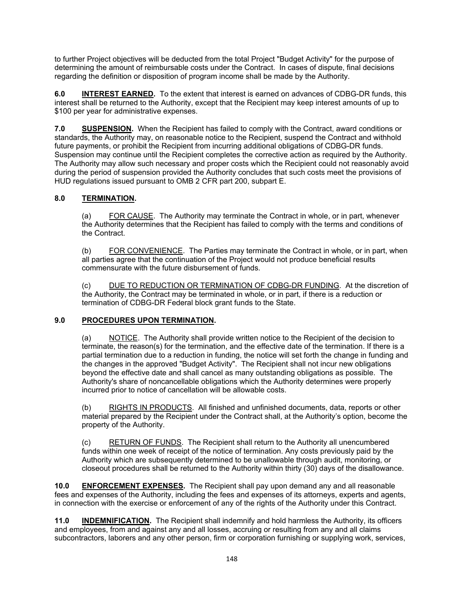to further Project objectives will be deducted from the total Project "Budget Activity" for the purpose of determining the amount of reimbursable costs under the Contract. In cases of dispute, final decisions regarding the definition or disposition of program income shall be made by the Authority.

**6.0 INTEREST EARNED.** To the extent that interest is earned on advances of CDBG-DR funds, this interest shall be returned to the Authority, except that the Recipient may keep interest amounts of up to \$100 per year for administrative expenses.

**7.0 SUSPENSION.** When the Recipient has failed to comply with the Contract, award conditions or standards, the Authority may, on reasonable notice to the Recipient, suspend the Contract and withhold future payments, or prohibit the Recipient from incurring additional obligations of CDBG-DR funds. Suspension may continue until the Recipient completes the corrective action as required by the Authority. The Authority may allow such necessary and proper costs which the Recipient could not reasonably avoid during the period of suspension provided the Authority concludes that such costs meet the provisions of HUD regulations issued pursuant to OMB 2 CFR part 200, subpart E.

## **8.0 TERMINATION.**

(a) FOR CAUSE. The Authority may terminate the Contract in whole, or in part, whenever the Authority determines that the Recipient has failed to comply with the terms and conditions of the Contract.

(b) FOR CONVENIENCE. The Parties may terminate the Contract in whole, or in part, when all parties agree that the continuation of the Project would not produce beneficial results commensurate with the future disbursement of funds.

(c) DUE TO REDUCTION OR TERMINATION OF CDBG-DR FUNDING. At the discretion of the Authority, the Contract may be terminated in whole, or in part, if there is a reduction or termination of CDBG-DR Federal block grant funds to the State.

## **9.0 PROCEDURES UPON TERMINATION.**

(a) NOTICE. The Authority shall provide written notice to the Recipient of the decision to terminate, the reason(s) for the termination, and the effective date of the termination. If there is a partial termination due to a reduction in funding, the notice will set forth the change in funding and the changes in the approved "Budget Activity". The Recipient shall not incur new obligations beyond the effective date and shall cancel as many outstanding obligations as possible. The Authority's share of noncancellable obligations which the Authority determines were properly incurred prior to notice of cancellation will be allowable costs.

(b) RIGHTS IN PRODUCTS. All finished and unfinished documents, data, reports or other material prepared by the Recipient under the Contract shall, at the Authority's option, become the property of the Authority.

(c) RETURN OF FUNDS. The Recipient shall return to the Authority all unencumbered funds within one week of receipt of the notice of termination. Any costs previously paid by the Authority which are subsequently determined to be unallowable through audit, monitoring, or closeout procedures shall be returned to the Authority within thirty (30) days of the disallowance.

**10.0 ENFORCEMENT EXPENSES.** The Recipient shall pay upon demand any and all reasonable fees and expenses of the Authority, including the fees and expenses of its attorneys, experts and agents, in connection with the exercise or enforcement of any of the rights of the Authority under this Contract.

**11.0 INDEMNIFICATION.** The Recipient shall indemnify and hold harmless the Authority, its officers and employees, from and against any and all losses, accruing or resulting from any and all claims subcontractors, laborers and any other person, firm or corporation furnishing or supplying work, services,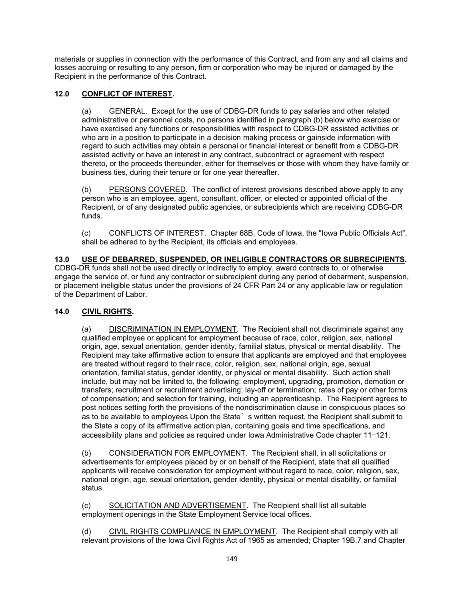materials or supplies in connection with the performance of this Contract, and from any and all claims and losses accruing or resulting to any person, firm or corporation who may be injured or damaged by the Recipient in the performance of this Contract.

## **12.0 CONFLICT OF INTEREST.**

(a) GENERAL. Except for the use of CDBG-DR funds to pay salaries and other related administrative or personnel costs, no persons identified in paragraph (b) below who exercise or have exercised any functions or responsibilities with respect to CDBG-DR assisted activities or who are in a position to participate in a decision making process or gainside information with regard to such activities may obtain a personal or financial interest or benefit from a CDBG-DR assisted activity or have an interest in any contract, subcontract or agreement with respect thereto, or the proceeds thereunder, either for themselves or those with whom they have family or business ties, during their tenure or for one year thereafter.

(b) PERSONS COVERED. The conflict of interest provisions described above apply to any person who is an employee, agent, consultant, officer, or elected or appointed official of the Recipient, or of any designated public agencies, or subrecipients which are receiving CDBG-DR funds.

(c) CONFLICTS OF INTEREST. Chapter 68B, Code of Iowa, the "Iowa Public Officials Act", shall be adhered to by the Recipient, its officials and employees.

**13.0 USE OF DEBARRED, SUSPENDED, OR INELIGIBLE CONTRACTORS OR SUBRECIPIENTS.** CDBG-DR funds shall not be used directly or indirectly to employ, award contracts to, or otherwise engage the service of, or fund any contractor or subrecipient during any period of debarment, suspension, or placement ineligible status under the provisions of 24 CFR Part 24 or any applicable law or regulation of the Department of Labor.

## **14.0 CIVIL RIGHTS.**

(a) DISCRIMINATION IN EMPLOYMENT. The Recipient shall not discriminate against any qualified employee or applicant for employment because of race, color, religion, sex, national origin, age, sexual orientation, gender identity, familial status, physical or mental disability. The Recipient may take affirmative action to ensure that applicants are employed and that employees are treated without regard to their race, color, religion, sex, national origin, age, sexual orientation, familial status, gender identity, or physical or mental disability. Such action shall include, but may not be limited to, the following: employment, upgrading, promotion, demotion or transfers; recruitment or recruitment advertising; lay-off or termination; rates of pay or other forms of compensation; and selection for training, including an apprenticeship. The Recipient agrees to post notices setting forth the provisions of the nondiscrimination clause in conspicuous places so as to be available to employees Upon the State's written request, the Recipient shall submit to the State a copy of its affirmative action plan, containing goals and time specifications, and accessibility plans and policies as required under Iowa Administrative Code chapter 11—121.

(b) CONSIDERATION FOR EMPLOYMENT. The Recipient shall, in all solicitations or advertisements for employees placed by or on behalf of the Recipient, state that all qualified applicants will receive consideration for employment without regard to race, color, religion, sex, national origin, age, sexual orientation, gender identity, physical or mental disability, or familial status.

(c) SOLICITATION AND ADVERTISEMENT. The Recipient shall list all suitable employment openings in the State Employment Service local offices.

(d) CIVIL RIGHTS COMPLIANCE IN EMPLOYMENT. The Recipient shall comply with all relevant provisions of the Iowa Civil Rights Act of 1965 as amended; Chapter 19B.7 and Chapter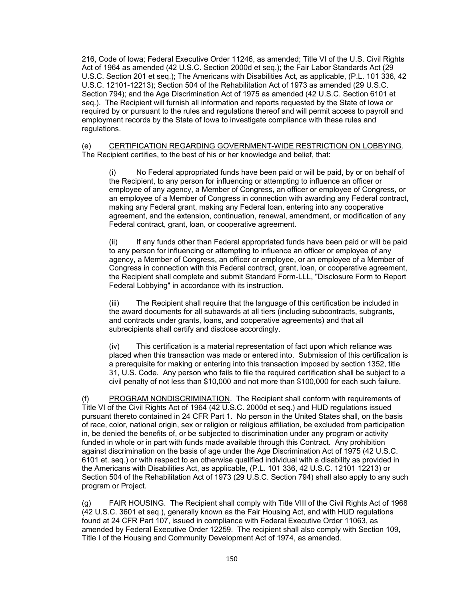216, Code of Iowa; Federal Executive Order 11246, as amended; Title VI of the U.S. Civil Rights Act of 1964 as amended (42 U.S.C. Section 2000d et seq.); the Fair Labor Standards Act (29 U.S.C. Section 201 et seq.); The Americans with Disabilities Act, as applicable, (P.L. 101 336, 42 U.S.C. 12101-12213); Section 504 of the Rehabilitation Act of 1973 as amended (29 U.S.C. Section 794); and the Age Discrimination Act of 1975 as amended (42 U.S.C. Section 6101 et seq.). The Recipient will furnish all information and reports requested by the State of Iowa or required by or pursuant to the rules and regulations thereof and will permit access to payroll and employment records by the State of Iowa to investigate compliance with these rules and regulations.

(e) CERTIFICATION REGARDING GOVERNMENT-WIDE RESTRICTION ON LOBBYING. The Recipient certifies, to the best of his or her knowledge and belief, that:

No Federal appropriated funds have been paid or will be paid, by or on behalf of the Recipient, to any person for influencing or attempting to influence an officer or employee of any agency, a Member of Congress, an officer or employee of Congress, or an employee of a Member of Congress in connection with awarding any Federal contract, making any Federal grant, making any Federal loan, entering into any cooperative agreement, and the extension, continuation, renewal, amendment, or modification of any Federal contract, grant, loan, or cooperative agreement.

(ii) If any funds other than Federal appropriated funds have been paid or will be paid to any person for influencing or attempting to influence an officer or employee of any agency, a Member of Congress, an officer or employee, or an employee of a Member of Congress in connection with this Federal contract, grant, loan, or cooperative agreement, the Recipient shall complete and submit Standard Form-LLL, "Disclosure Form to Report Federal Lobbying" in accordance with its instruction.

(iii) The Recipient shall require that the language of this certification be included in the award documents for all subawards at all tiers (including subcontracts, subgrants, and contracts under grants, loans, and cooperative agreements) and that all subrecipients shall certify and disclose accordingly.

(iv) This certification is a material representation of fact upon which reliance was placed when this transaction was made or entered into. Submission of this certification is a prerequisite for making or entering into this transaction imposed by section 1352, title 31, U.S. Code. Any person who fails to file the required certification shall be subject to a civil penalty of not less than \$10,000 and not more than \$100,000 for each such failure.

(f) PROGRAM NONDISCRIMINATION. The Recipient shall conform with requirements of Title VI of the Civil Rights Act of 1964 (42 U.S.C. 2000d et seq.) and HUD regulations issued pursuant thereto contained in 24 CFR Part 1. No person in the United States shall, on the basis of race, color, national origin, sex or religion or religious affiliation, be excluded from participation in, be denied the benefits of, or be subjected to discrimination under any program or activity funded in whole or in part with funds made available through this Contract. Any prohibition against discrimination on the basis of age under the Age Discrimination Act of 1975 (42 U.S.C. 6101 et. seq.) or with respect to an otherwise qualified individual with a disability as provided in the Americans with Disabilities Act, as applicable, (P.L. 101 336, 42 U.S.C. 12101 12213) or Section 504 of the Rehabilitation Act of 1973 (29 U.S.C. Section 794) shall also apply to any such program or Project.

(g) FAIR HOUSING. The Recipient shall comply with Title VIII of the Civil Rights Act of 1968 (42 U.S.C. 3601 et seq.), generally known as the Fair Housing Act, and with HUD regulations found at 24 CFR Part 107, issued in compliance with Federal Executive Order 11063, as amended by Federal Executive Order 12259. The recipient shall also comply with Section 109, Title I of the Housing and Community Development Act of 1974, as amended.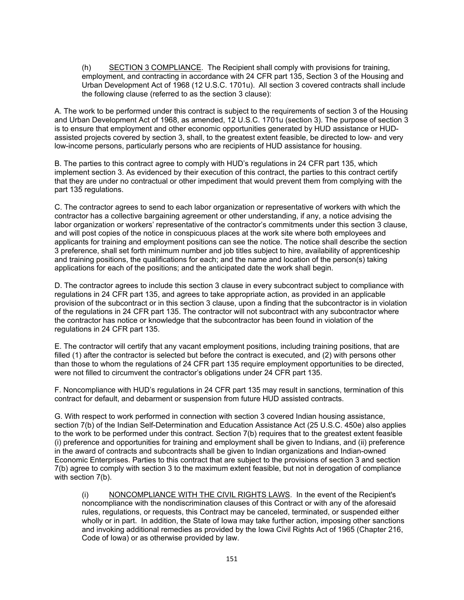(h) SECTION 3 COMPLIANCE. The Recipient shall comply with provisions for training, employment, and contracting in accordance with 24 CFR part 135, Section 3 of the Housing and Urban Development Act of 1968 (12 U.S.C. 1701u). All section 3 covered contracts shall include the following clause (referred to as the section 3 clause):

A. The work to be performed under this contract is subject to the requirements of section 3 of the Housing and Urban Development Act of 1968, as amended, 12 U.S.C. 1701u (section 3). The purpose of section 3 is to ensure that employment and other economic opportunities generated by HUD assistance or HUDassisted projects covered by section 3, shall, to the greatest extent feasible, be directed to low- and very low-income persons, particularly persons who are recipients of HUD assistance for housing.

B. The parties to this contract agree to comply with HUD's regulations in 24 CFR part 135, which implement section 3. As evidenced by their execution of this contract, the parties to this contract certify that they are under no contractual or other impediment that would prevent them from complying with the part 135 regulations.

C. The contractor agrees to send to each labor organization or representative of workers with which the contractor has a collective bargaining agreement or other understanding, if any, a notice advising the labor organization or workers' representative of the contractor's commitments under this section 3 clause, and will post copies of the notice in conspicuous places at the work site where both employees and applicants for training and employment positions can see the notice. The notice shall describe the section 3 preference, shall set forth minimum number and job titles subject to hire, availability of apprenticeship and training positions, the qualifications for each; and the name and location of the person(s) taking applications for each of the positions; and the anticipated date the work shall begin.

D. The contractor agrees to include this section 3 clause in every subcontract subject to compliance with regulations in 24 CFR part 135, and agrees to take appropriate action, as provided in an applicable provision of the subcontract or in this section 3 clause, upon a finding that the subcontractor is in violation of the regulations in 24 CFR part 135. The contractor will not subcontract with any subcontractor where the contractor has notice or knowledge that the subcontractor has been found in violation of the regulations in 24 CFR part 135.

E. The contractor will certify that any vacant employment positions, including training positions, that are filled (1) after the contractor is selected but before the contract is executed, and (2) with persons other than those to whom the regulations of 24 CFR part 135 require employment opportunities to be directed, were not filled to circumvent the contractor's obligations under 24 CFR part 135.

F. Noncompliance with HUD's regulations in 24 CFR part 135 may result in sanctions, termination of this contract for default, and debarment or suspension from future HUD assisted contracts.

G. With respect to work performed in connection with section 3 covered Indian housing assistance, section 7(b) of the Indian Self-Determination and Education Assistance Act (25 U.S.C. 450e) also applies to the work to be performed under this contract. Section 7(b) requires that to the greatest extent feasible (i) preference and opportunities for training and employment shall be given to Indians, and (ii) preference in the award of contracts and subcontracts shall be given to Indian organizations and Indian-owned Economic Enterprises. Parties to this contract that are subject to the provisions of section 3 and section 7(b) agree to comply with section 3 to the maximum extent feasible, but not in derogation of compliance with section 7(b).

(i) NONCOMPLIANCE WITH THE CIVIL RIGHTS LAWS. In the event of the Recipient's noncompliance with the nondiscrimination clauses of this Contract or with any of the aforesaid rules, regulations, or requests, this Contract may be canceled, terminated, or suspended either wholly or in part. In addition, the State of Iowa may take further action, imposing other sanctions and invoking additional remedies as provided by the Iowa Civil Rights Act of 1965 (Chapter 216, Code of Iowa) or as otherwise provided by law.